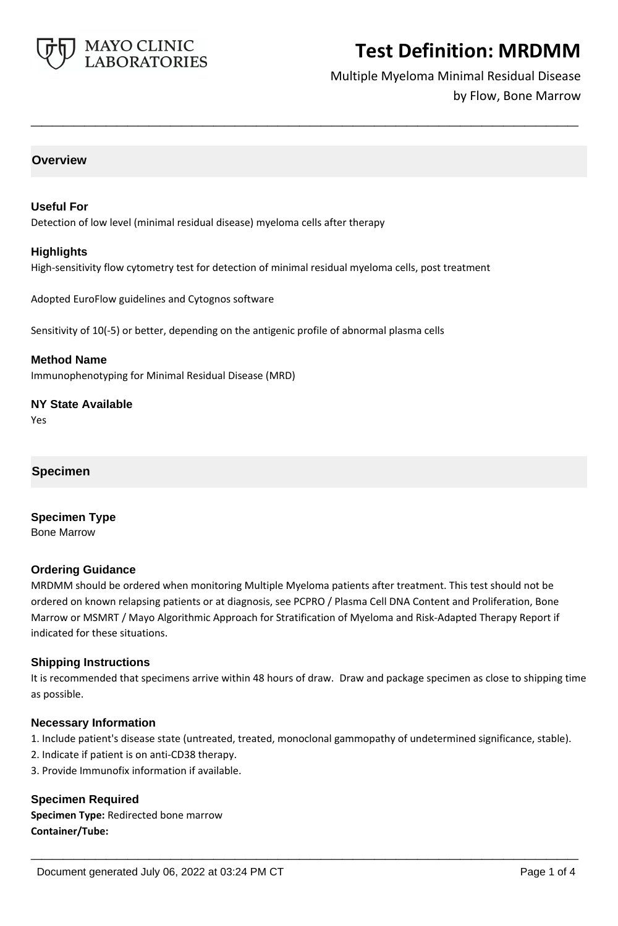

# Multiple Myeloma Minimal Residual Disease by Flow, Bone Marrow

### **Overview**

#### **Useful For**

Detection of low level (minimal residual disease) myeloma cells after therapy

#### **Highlights**

High-sensitivity flow cytometry test for detection of minimal residual myeloma cells, post treatment

**\_\_\_\_\_\_\_\_\_\_\_\_\_\_\_\_\_\_\_\_\_\_\_\_\_\_\_\_\_\_\_\_\_\_\_\_\_\_\_\_\_\_\_\_\_\_\_\_\_\_\_**

Adopted EuroFlow guidelines and Cytognos software

Sensitivity of 10(-5) or better, depending on the antigenic profile of abnormal plasma cells

**Method Name** Immunophenotyping for Minimal Residual Disease (MRD)

**NY State Available**

Yes

# **Specimen**

**Specimen Type** Bone Marrow

### **Ordering Guidance**

MRDMM should be ordered when monitoring Multiple Myeloma patients after treatment. This test should not be ordered on known relapsing patients or at diagnosis, see PCPRO / Plasma Cell DNA Content and Proliferation, Bone Marrow or MSMRT / Mayo Algorithmic Approach for Stratification of Myeloma and Risk-Adapted Therapy Report if indicated for these situations.

### **Shipping Instructions**

It is recommended that specimens arrive within 48 hours of draw. Draw and package specimen as close to shipping time as possible.

### **Necessary Information**

1. Include patient's disease state (untreated, treated, monoclonal gammopathy of undetermined significance, stable).

**\_\_\_\_\_\_\_\_\_\_\_\_\_\_\_\_\_\_\_\_\_\_\_\_\_\_\_\_\_\_\_\_\_\_\_\_\_\_\_\_\_\_\_\_\_\_\_\_\_\_\_**

- 2. Indicate if patient is on anti-CD38 therapy.
- 3. Provide Immunofix information if available.

**Specimen Required Specimen Type:** Redirected bone marrow **Container/Tube:**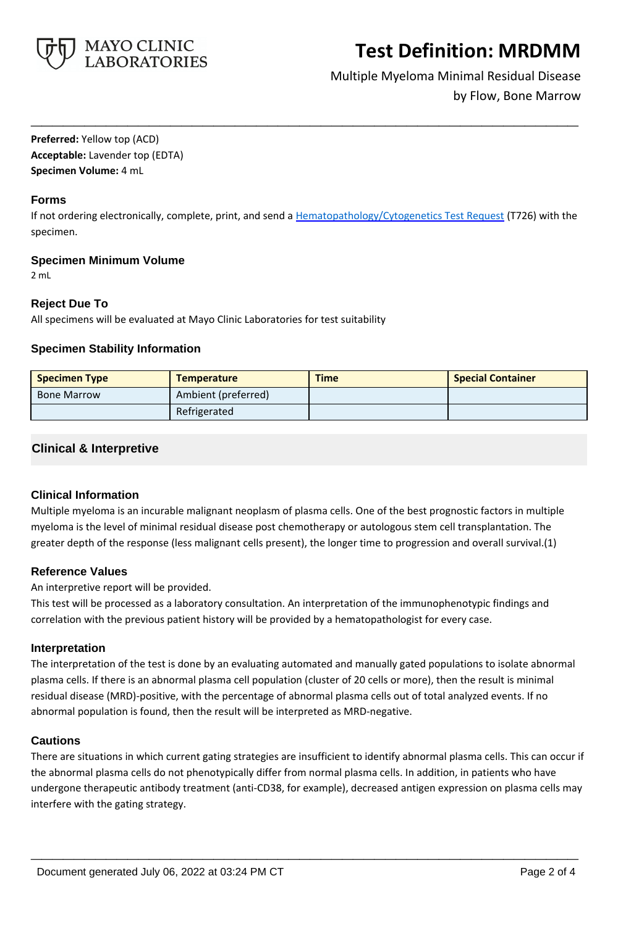

# Multiple Myeloma Minimal Residual Disease by Flow, Bone Marrow

**Preferred:** Yellow top (ACD) **Acceptable:** Lavender top (EDTA) **Specimen Volume:** 4 mL

### **Forms**

If not ordering electronically, complete, print, and send a [Hematopathology/Cytogenetics Test Request](https://www.mayocliniclabs.com/it-mmfiles/hematopathology-request-form.pdf) (T726) with the specimen.

**\_\_\_\_\_\_\_\_\_\_\_\_\_\_\_\_\_\_\_\_\_\_\_\_\_\_\_\_\_\_\_\_\_\_\_\_\_\_\_\_\_\_\_\_\_\_\_\_\_\_\_**

## **Specimen Minimum Volume**

2 mL

# **Reject Due To**

All specimens will be evaluated at Mayo Clinic Laboratories for test suitability

## **Specimen Stability Information**

| <b>Specimen Type</b> | <b>Temperature</b>  | <b>Time</b> | <b>Special Container</b> |
|----------------------|---------------------|-------------|--------------------------|
| <b>Bone Marrow</b>   | Ambient (preferred) |             |                          |
|                      | Refrigerated        |             |                          |

# **Clinical & Interpretive**

### **Clinical Information**

Multiple myeloma is an incurable malignant neoplasm of plasma cells. One of the best prognostic factors in multiple myeloma is the level of minimal residual disease post chemotherapy or autologous stem cell transplantation. The greater depth of the response (less malignant cells present), the longer time to progression and overall survival.(1)

# **Reference Values**

An interpretive report will be provided.

This test will be processed as a laboratory consultation. An interpretation of the immunophenotypic findings and correlation with the previous patient history will be provided by a hematopathologist for every case.

### **Interpretation**

The interpretation of the test is done by an evaluating automated and manually gated populations to isolate abnormal plasma cells. If there is an abnormal plasma cell population (cluster of 20 cells or more), then the result is minimal residual disease (MRD)-positive, with the percentage of abnormal plasma cells out of total analyzed events. If no abnormal population is found, then the result will be interpreted as MRD-negative.

# **Cautions**

There are situations in which current gating strategies are insufficient to identify abnormal plasma cells. This can occur if the abnormal plasma cells do not phenotypically differ from normal plasma cells. In addition, in patients who have undergone therapeutic antibody treatment (anti-CD38, for example), decreased antigen expression on plasma cells may interfere with the gating strategy.

**\_\_\_\_\_\_\_\_\_\_\_\_\_\_\_\_\_\_\_\_\_\_\_\_\_\_\_\_\_\_\_\_\_\_\_\_\_\_\_\_\_\_\_\_\_\_\_\_\_\_\_**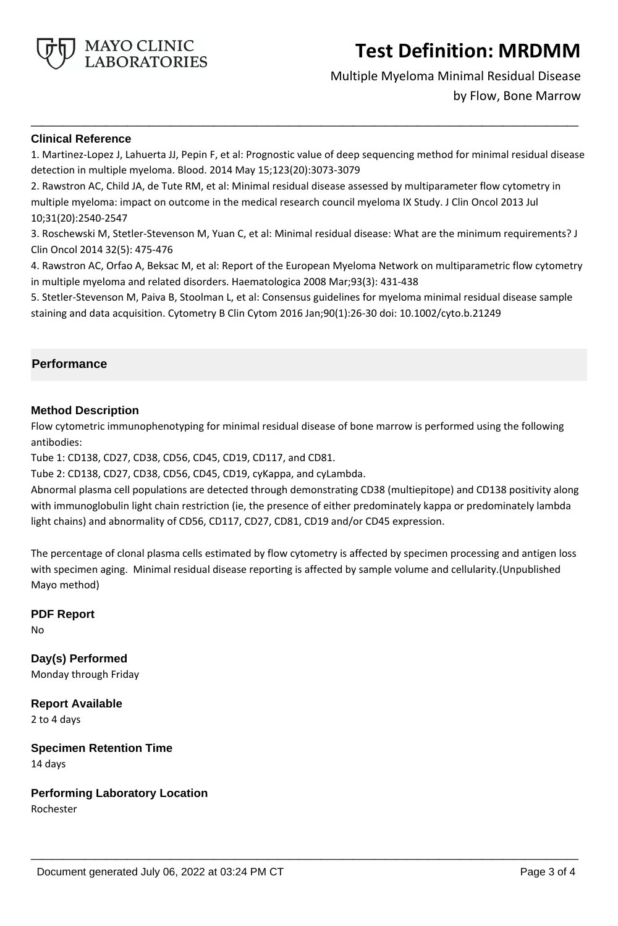

# Multiple Myeloma Minimal Residual Disease

by Flow, Bone Marrow

### **Clinical Reference**

1. Martinez-Lopez J, Lahuerta JJ, Pepin F, et al: Prognostic value of deep sequencing method for minimal residual disease detection in multiple myeloma. Blood. 2014 May 15;123(20):3073-3079

**\_\_\_\_\_\_\_\_\_\_\_\_\_\_\_\_\_\_\_\_\_\_\_\_\_\_\_\_\_\_\_\_\_\_\_\_\_\_\_\_\_\_\_\_\_\_\_\_\_\_\_**

2. Rawstron AC, Child JA, de Tute RM, et al: Minimal residual disease assessed by multiparameter flow cytometry in multiple myeloma: impact on outcome in the medical research council myeloma IX Study. J Clin Oncol 2013 Jul 10;31(20):2540-2547

3. Roschewski M, Stetler-Stevenson M, Yuan C, et al: Minimal residual disease: What are the minimum requirements? J Clin Oncol 2014 32(5): 475-476

4. Rawstron AC, Orfao A, Beksac M, et al: Report of the European Myeloma Network on multiparametric flow cytometry in multiple myeloma and related disorders. Haematologica 2008 Mar;93(3): 431-438

5. Stetler-Stevenson M, Paiva B, Stoolman L, et al: Consensus guidelines for myeloma minimal residual disease sample staining and data acquisition. Cytometry B Clin Cytom 2016 Jan;90(1):26-30 doi: 10.1002/cyto.b.21249

# **Performance**

## **Method Description**

Flow cytometric immunophenotyping for minimal residual disease of bone marrow is performed using the following antibodies:

Tube 1: CD138, CD27, CD38, CD56, CD45, CD19, CD117, and CD81.

Tube 2: CD138, CD27, CD38, CD56, CD45, CD19, cyKappa, and cyLambda.

Abnormal plasma cell populations are detected through demonstrating CD38 (multiepitope) and CD138 positivity along with immunoglobulin light chain restriction (ie, the presence of either predominately kappa or predominately lambda light chains) and abnormality of CD56, CD117, CD27, CD81, CD19 and/or CD45 expression.

The percentage of clonal plasma cells estimated by flow cytometry is affected by specimen processing and antigen loss with specimen aging. Minimal residual disease reporting is affected by sample volume and cellularity.(Unpublished Mayo method)

**\_\_\_\_\_\_\_\_\_\_\_\_\_\_\_\_\_\_\_\_\_\_\_\_\_\_\_\_\_\_\_\_\_\_\_\_\_\_\_\_\_\_\_\_\_\_\_\_\_\_\_**

**PDF Report**

No

**Day(s) Performed** Monday through Friday

**Report Available** 2 to 4 days

**Specimen Retention Time** 14 days

**Performing Laboratory Location**

Rochester